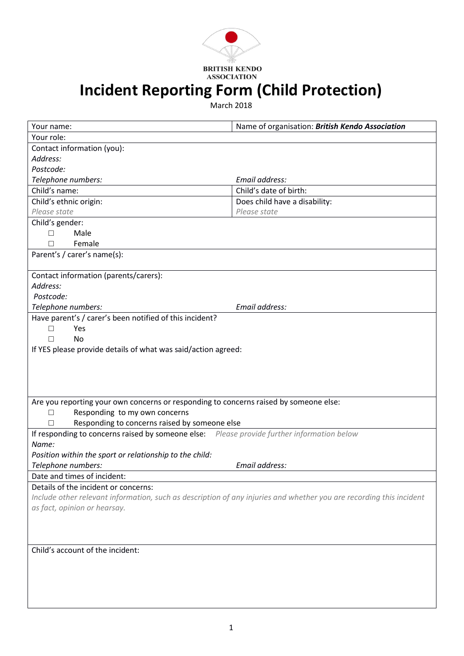

## **Incident Reporting Form (Child Protection)**

March 2018

| Your name:                                                                                                          | Name of organisation: British Kendo Association |  |
|---------------------------------------------------------------------------------------------------------------------|-------------------------------------------------|--|
| Your role:                                                                                                          |                                                 |  |
| Contact information (you):                                                                                          |                                                 |  |
| Address:                                                                                                            |                                                 |  |
| Postcode:                                                                                                           |                                                 |  |
| Telephone numbers:                                                                                                  | Email address:                                  |  |
| Child's name:                                                                                                       | Child's date of birth:                          |  |
| Child's ethnic origin:                                                                                              | Does child have a disability:                   |  |
| Please state                                                                                                        | Please state                                    |  |
| Child's gender:                                                                                                     |                                                 |  |
| Male<br>$\Box$                                                                                                      |                                                 |  |
| Female<br>П                                                                                                         |                                                 |  |
| Parent's / carer's name(s):                                                                                         |                                                 |  |
| Contact information (parents/carers):                                                                               |                                                 |  |
| Address:                                                                                                            |                                                 |  |
| Postcode:                                                                                                           |                                                 |  |
| Telephone numbers:                                                                                                  | Email address:                                  |  |
| Have parent's / carer's been notified of this incident?                                                             |                                                 |  |
| Yes<br>П                                                                                                            |                                                 |  |
| <b>No</b><br>П                                                                                                      |                                                 |  |
| If YES please provide details of what was said/action agreed:                                                       |                                                 |  |
|                                                                                                                     |                                                 |  |
|                                                                                                                     |                                                 |  |
|                                                                                                                     |                                                 |  |
|                                                                                                                     |                                                 |  |
| Are you reporting your own concerns or responding to concerns raised by someone else:                               |                                                 |  |
| Responding to my own concerns<br>П                                                                                  |                                                 |  |
| Responding to concerns raised by someone else<br>П                                                                  |                                                 |  |
| If responding to concerns raised by someone else: Please provide further information below                          |                                                 |  |
| Name:                                                                                                               |                                                 |  |
| Position within the sport or relationship to the child:                                                             |                                                 |  |
| Telephone numbers:                                                                                                  | Email address:                                  |  |
| Date and times of incident:                                                                                         |                                                 |  |
| Details of the incident or concerns:                                                                                |                                                 |  |
| Include other relevant information, such as description of any injuries and whether you are recording this incident |                                                 |  |
| as fact, opinion or hearsay.                                                                                        |                                                 |  |
|                                                                                                                     |                                                 |  |
|                                                                                                                     |                                                 |  |
|                                                                                                                     |                                                 |  |
| Child's account of the incident:                                                                                    |                                                 |  |
|                                                                                                                     |                                                 |  |
|                                                                                                                     |                                                 |  |
|                                                                                                                     |                                                 |  |
|                                                                                                                     |                                                 |  |
|                                                                                                                     |                                                 |  |